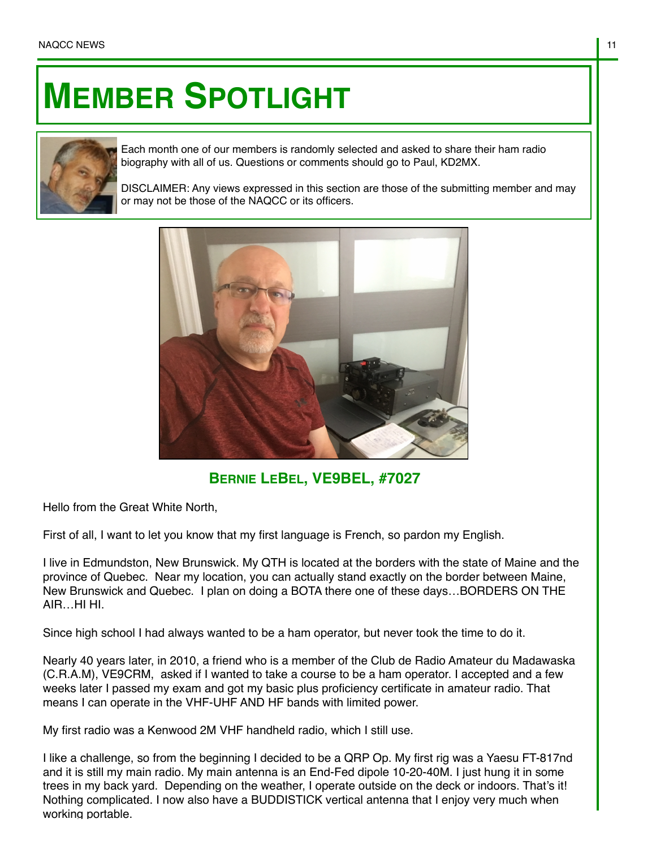## **MEMBER SPOTLIGHT**



Each month one of our members is randomly selected and asked to share their ham radio biography with all of us. Questions or comments should go to Paul, KD2MX.

DISCLAIMER: Any views expressed in this section are those of the submitting member and may or may not be those of the NAQCC or its officers.



**BERNIE LEBEL, VE9BEL, #7027**

Hello from the Great White North,

First of all, I want to let you know that my first language is French, so pardon my English.

I live in Edmundston, New Brunswick. My QTH is located at the borders with the state of Maine and the province of Quebec. Near my location, you can actually stand exactly on the border between Maine, New Brunswick and Quebec. I plan on doing a BOTA there one of these days…BORDERS ON THE AIR HI<sub>HI</sub>

Since high school I had always wanted to be a ham operator, but never took the time to do it.

Nearly 40 years later, in 2010, a friend who is a member of the Club de Radio Amateur du Madawaska (C.R.A.M), VE9CRM, asked if I wanted to take a course to be a ham operator. I accepted and a few weeks later I passed my exam and got my basic plus proficiency certificate in amateur radio. That means I can operate in the VHF-UHF AND HF bands with limited power.

My first radio was a Kenwood 2M VHF handheld radio, which I still use.

I like a challenge, so from the beginning I decided to be a QRP Op. My first rig was a Yaesu FT-817nd and it is still my main radio. My main antenna is an End-Fed dipole 10-20-40M. I just hung it in some trees in my back yard. Depending on the weather, I operate outside on the deck or indoors. That's it! Nothing complicated. I now also have a BUDDISTICK vertical antenna that I enjoy very much when working portable.